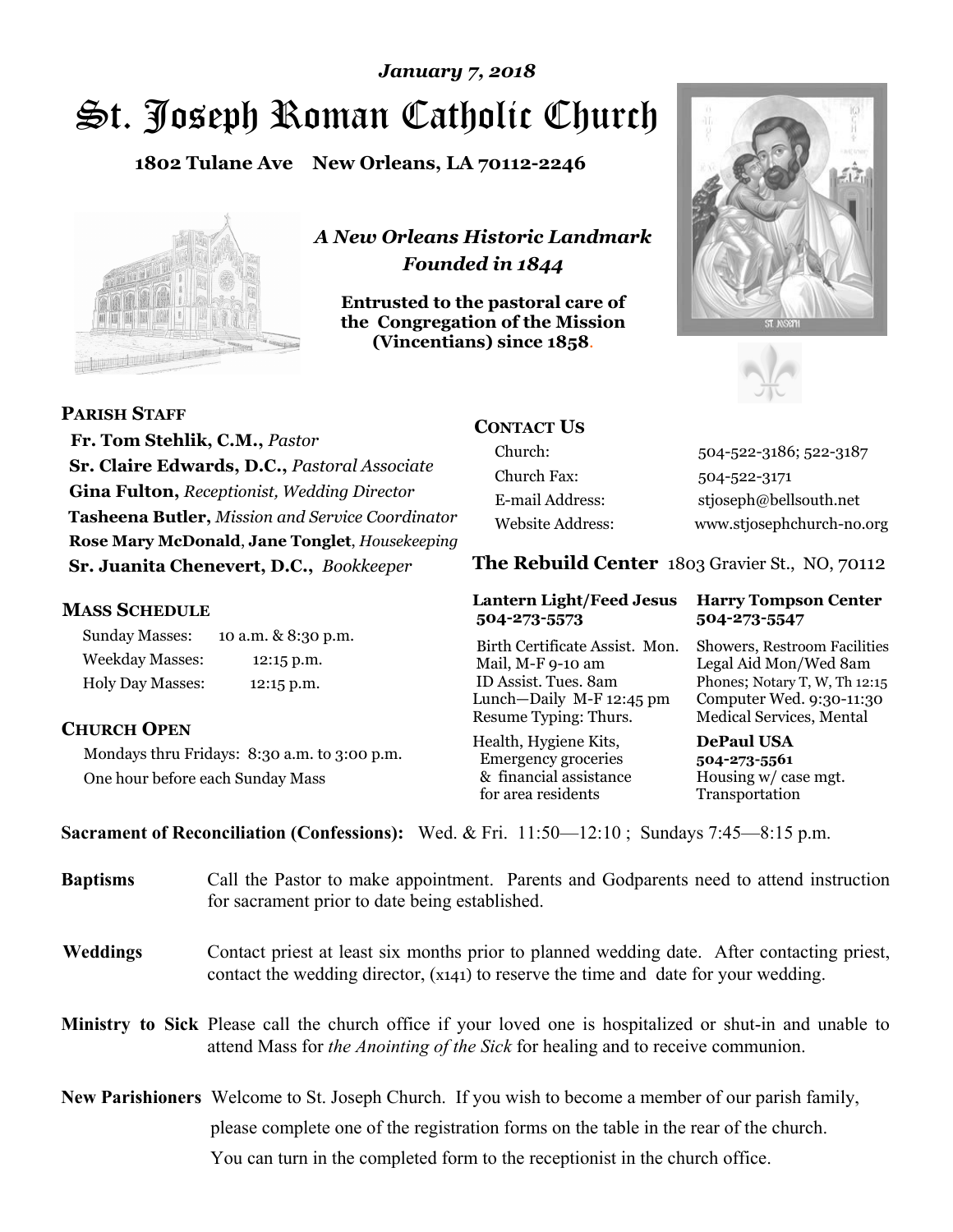# St. Joseph Roman Catholic Church *January 7, 2018*

**1802 Tulane Ave New Orleans, LA 70112-2246**



*A New Orleans Historic Landmark Founded in 1844* 

**Entrusted to the pastoral care of the Congregation of the Mission (Vincentians) since 1858**.





**PARISH STAFF**

 **Fr. Tom Stehlik, C.M.,** *Pastor* **Sr. Claire Edwards, D.C.,** *Pastoral Associate* **Gina Fulton,** *Receptionist, Wedding Director* **Tasheena Butler,** *Mission and Service Coordinator* **Rose Mary McDonald**, **Jane Tonglet**, *Housekeeping* **Sr. Juanita Chenevert, D.C.,** *Bookkeeper* 

#### **MASS SCHEDULE**

Sunday Masses: 10 a.m. & 8:30 p.m. Weekday Masses: 12:15 p.m. Holy Day Masses: 12:15 p.m.

### **CHURCH OPEN**

Mondays thru Fridays: 8:30 a.m. to 3:00 p.m. One hour before each Sunday Mass

# **CONTACT US**

Church: 504-522-3186; 522-3187 Church Fax: 504-522-3171 E-mail Address: stjoseph@bellsouth.net Website Address: www.stjosephchurch-no.org

**The Rebuild Center** 1803 Gravier St., NO, 70112

#### **Lantern Light/Feed Jesus Harry Tompson Center 504-273-5573 504-273-5547**

Birth Certificate Assist. Mon. Showers, Restroom Facilities Mail, M-F 9-10 am Legal Aid Mon/Wed 8am ID Assist. Tues. 8am Phones; Notary T, W, Th 12:15 Lunch—Daily M-F 12:45 pm Computer Wed. 9:30-11:30 Resume Typing: Thurs. Medical Services, Mental

Health, Hygiene Kits, **DePaul USA**  Emergency groceries **504-273-5561** & financial assistance Housing w/ case mgt.<br>for area residents Transportation for area residents

**Sacrament of Reconciliation (Confessions):** Wed. & Fri. 11:50—12:10 ; Sundays 7:45—8:15 p.m.

| <b>Baptisms</b> | Call the Pastor to make appointment. Parents and Godparents need to attend instruction<br>for sacrament prior to date being established.                                                                   |  |
|-----------------|------------------------------------------------------------------------------------------------------------------------------------------------------------------------------------------------------------|--|
| <b>Weddings</b> | Contact priest at least six months prior to planned wedding date. After contacting priest,<br>contact the wedding director, (x141) to reserve the time and date for your wedding.                          |  |
|                 | <b>Ministry to Sick</b> Please call the church office if your loved one is hospitalized or shut-in and unable to<br>attend Mass for <i>the Anointing of the Sick</i> for healing and to receive communion. |  |
|                 | <b>New Parishioners</b> Welcome to St. Joseph Church. If you wish to become a member of our parish family,                                                                                                 |  |
|                 | please complete one of the registration forms on the table in the rear of the church.                                                                                                                      |  |
|                 | You can turn in the completed form to the receptionist in the church office.                                                                                                                               |  |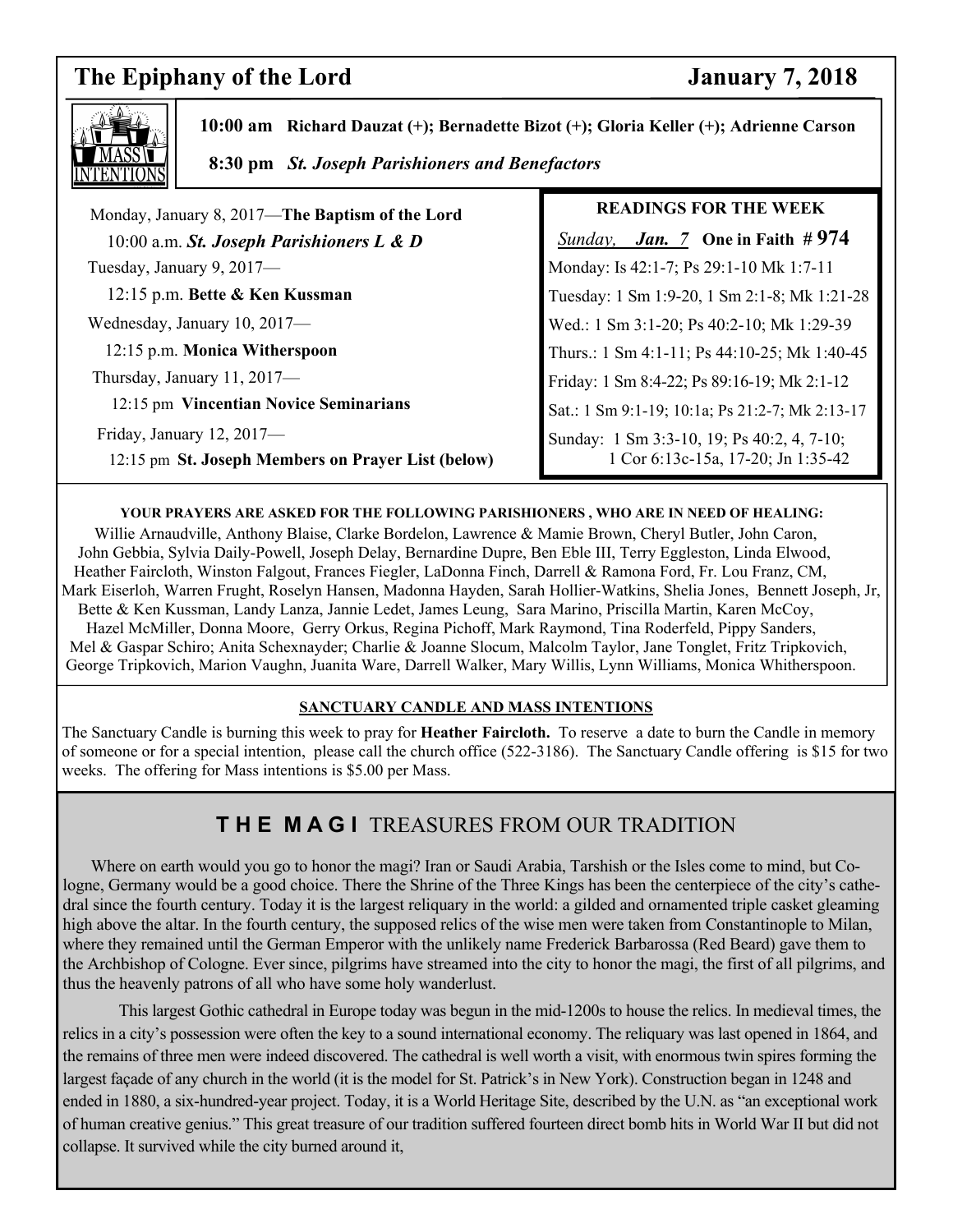# **The Epiphany of the Lord January 7, 2018**

 $\overline{\phantom{a}}$ 



 **10:00 am Richard Dauzat (+); Bernadette Bizot (+); Gloria Keller (+); Adrienne Carson 8:30 pm** *St. Joseph Parishioners and Benefactors*

| Monday, January 8, 2017—The Baptism of the Lord                                    | <b>READ</b>           |
|------------------------------------------------------------------------------------|-----------------------|
| 10:00 a.m. St. Joseph Parishioners L & D                                           | Sunday, <b>J</b>      |
| Tuesday, January 9, 2017—                                                          | Monday: Is 42         |
| 12:15 p.m. Bette & Ken Kussman                                                     | Tuesday: 1 Sn         |
| Wednesday, January 10, 2017-                                                       | Wed.: 1 Sm 3:         |
| 12:15 p.m. Monica Witherspoon                                                      | Thurs.: 1 Sm 4        |
| Thursday, January 11, 2017-                                                        | Friday: 1 Sm 8        |
| 12:15 pm Vincentian Novice Seminarians                                             | Sat.: 1 Sm 9:1.       |
| Friday, January $12, 2017$ —<br>12:15 pm St. Joseph Members on Prayer List (below) | Sunday: 1 Sm<br>1 Cor |
|                                                                                    |                       |

### **INGS FOR THE WEEK**

 *Sunday, Jan. 7* **One in Faith # 974**   $\therefore$  1-7; Ps 29:1-10 Mk 1:7-11 n 1:9-20, 1 Sm 2:1-8; Mk 1:21-28 1-20; Ps 40:2-10; Mk 1:29-39 4:1-11; Ps 44:10-25; Mk 1:40-45 8:4-22; Ps 89:16-19; Mk 2:1-12 -19; 10:1a; Ps 21:2-7; Mk 2:13-17  $n3:3-10$ , 19; Ps 40:2, 4, 7-10; 6:13c-15a, 17-20; Jn 1:35-42

#### **YOUR PRAYERS ARE ASKED FOR THE FOLLOWING PARISHIONERS , WHO ARE IN NEED OF HEALING:**

Willie Arnaudville, Anthony Blaise, Clarke Bordelon, Lawrence & Mamie Brown, Cheryl Butler, John Caron, John Gebbia, Sylvia Daily-Powell, Joseph Delay, Bernardine Dupre, Ben Eble III, Terry Eggleston, Linda Elwood, Heather Faircloth, Winston Falgout, Frances Fiegler, LaDonna Finch, Darrell & Ramona Ford, Fr. Lou Franz, CM, Mark Eiserloh, Warren Frught, Roselyn Hansen, Madonna Hayden, Sarah Hollier-Watkins, Shelia Jones, Bennett Joseph, Jr, Bette & Ken Kussman, Landy Lanza, Jannie Ledet, James Leung, Sara Marino, Priscilla Martin, Karen McCoy, Hazel McMiller, Donna Moore, Gerry Orkus, Regina Pichoff, Mark Raymond, Tina Roderfeld, Pippy Sanders, Mel & Gaspar Schiro; Anita Schexnayder; Charlie & Joanne Slocum, Malcolm Taylor, Jane Tonglet, Fritz Tripkovich, George Tripkovich, Marion Vaughn, Juanita Ware, Darrell Walker, Mary Willis, Lynn Williams, Monica Whitherspoon.

#### **SANCTUARY CANDLE AND MASS INTENTIONS**

The Sanctuary Candle is burning this week to pray for **Heather Faircloth.** To reserve a date to burn the Candle in memory of someone or for a special intention, please call the church office (522-3186). The Sanctuary Candle offering is \$15 for two weeks. The offering for Mass intentions is \$5.00 per Mass.

# **T H E M A G I** TREASURES FROM OUR TRADITION

 Where on earth would you go to honor the magi? Iran or Saudi Arabia, Tarshish or the Isles come to mind, but Cologne, Germany would be a good choice. There the Shrine of the Three Kings has been the centerpiece of the city's cathedral since the fourth century. Today it is the largest reliquary in the world: a gilded and ornamented triple casket gleaming high above the altar. In the fourth century, the supposed relics of the wise men were taken from Constantinople to Milan, where they remained until the German Emperor with the unlikely name Frederick Barbarossa (Red Beard) gave them to the Archbishop of Cologne. Ever since, pilgrims have streamed into the city to honor the magi, the first of all pilgrims, and thus the heavenly patrons of all who have some holy wanderlust.

 This largest Gothic cathedral in Europe today was begun in the mid-1200s to house the relics. In medieval times, the relics in a city's possession were often the key to a sound international economy. The reliquary was last opened in 1864, and the remains of three men were indeed discovered. The cathedral is well worth a visit, with enormous twin spires forming the largest façade of any church in the world (it is the model for St. Patrick's in New York). Construction began in 1248 and ended in 1880, a six-hundred-year project. Today, it is a World Heritage Site, described by the U.N. as "an exceptional work of human creative genius." This great treasure of our tradition suffered fourteen direct bomb hits in World War II but did not collapse. It survived while the city burned around it,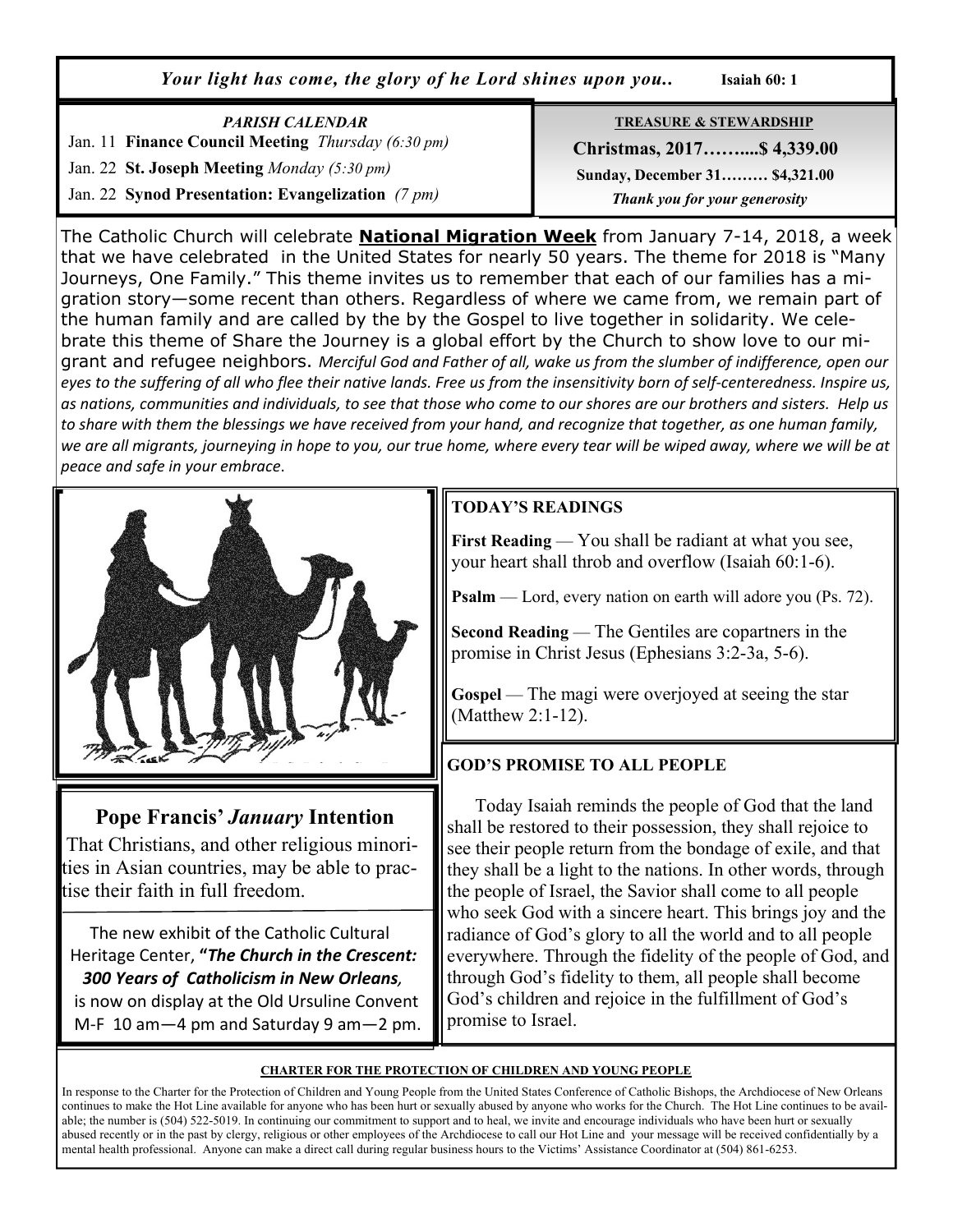*Your light has come, the glory of he Lord shines upon you..* **Isaiah 60: 1**

| <b>PARISH CALENDAR</b>                             | <b>TREASURE &amp; STEWARDSHIP</b> |
|----------------------------------------------------|-----------------------------------|
| Jan. 11 Finance Council Meeting Thursday (6:30 pm) | Christmas, 2017 \$4,339.00        |
| Jan. 22 St. Joseph Meeting Monday (5:30 pm)        | Sunday, December 31 \$4,321.00    |
| Jan. 22 Synod Presentation: Evangelization (7 pm)  | Thank you for your generosity     |

The Catholic Church will celebrate **National Migration Week** from January 7-14, 2018, a week that we have celebrated in the United States for nearly 50 years. The theme for 2018 is "Many Journeys, One Family." This theme invites us to remember that each of our families has a migration story—some recent than others. Regardless of where we came from, we remain part of the human family and are called by the by the Gospel to live together in solidarity. We celebrate this theme of Share the Journey is a global effort by the Church to show love to our migrant and refugee neighbors. *Merciful God and Father of all, wake us from the slumber of indifference, open our eyes to the suffering of all who flee their native lands. Free us from the insensitivity born of self-centeredness. Inspire us, as nations, communities and individuals, to see that those who come to our shores are our brothers and sisters. Help us to share with them the blessings we have received from your hand, and recognize that together, as one human family, we are all migrants, journeying in hope to you, our true home, where every tear will be wiped away, where we will be at peace and safe in your embrace*.



# **Pope Francis'** *January* **Intention**

That Christians, and other religious minorities in Asian countries, may be able to practise their faith in full freedom.

 The new exhibit of the Catholic Cultural Heritage Center, **"***The Church in the Crescent: 300 Years of Catholicism in New Orleans,*  is now on display at the Old Ursuline Convent

M-F 10 am—4 pm and Saturday 9 am—2 pm.

# **TODAY'S READINGS**

**First Reading** — You shall be radiant at what you see, your heart shall throb and overflow (Isaiah 60:1-6).

**Psalm** — Lord, every nation on earth will adore you (Ps. 72).

**Second Reading** — The Gentiles are copartners in the promise in Christ Jesus (Ephesians 3:2-3a, 5-6).

**Gospel** — The magi were overjoyed at seeing the star (Matthew 2:1-12).

# **GOD'S PROMISE TO ALL PEOPLE**

 Today Isaiah reminds the people of God that the land shall be restored to their possession, they shall rejoice to see their people return from the bondage of exile, and that they shall be a light to the nations. In other words, through the people of Israel, the Savior shall come to all people who seek God with a sincere heart. This brings joy and the radiance of God's glory to all the world and to all people everywhere. Through the fidelity of the people of God, and through God's fidelity to them, all people shall become God's children and rejoice in the fulfillment of God's promise to Israel.

#### **CHARTER FOR THE PROTECTION OF CHILDREN AND YOUNG PEOPLE**

In response to the Charter for the Protection of Children and Young People from the United States Conference of Catholic Bishops, the Archdiocese of New Orleans continues to make the Hot Line available for anyone who has been hurt or sexually abused by anyone who works for the Church. The Hot Line continues to be available; the number is (504) 522-5019. In continuing our commitment to support and to heal, we invite and encourage individuals who have been hurt or sexually abused recently or in the past by clergy, religious or other employees of the Archdiocese to call our Hot Line and your message will be received confidentially by a mental health professional. Anyone can make a direct call during regular business hours to the Victims' Assistance Coordinator at (504) 861-6253.